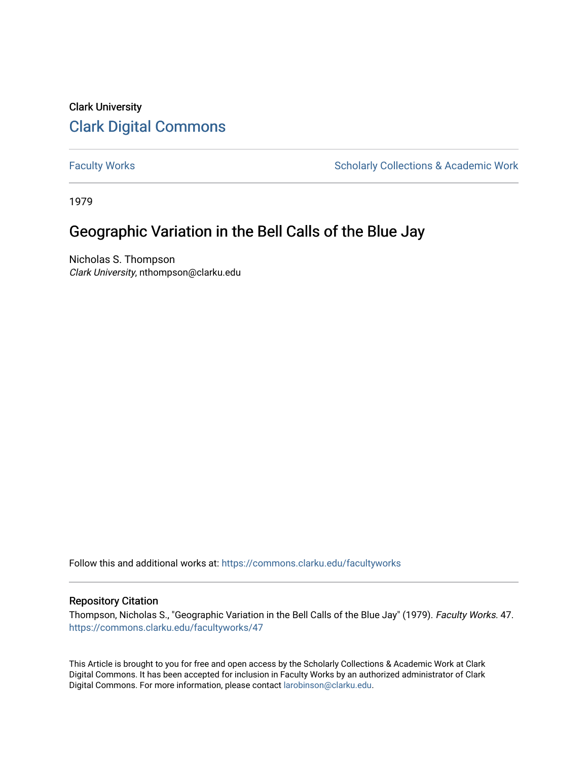# Clark University [Clark Digital Commons](https://commons.clarku.edu/)

[Faculty Works](https://commons.clarku.edu/facultyworks) **Scholarly Collections & Academic Work** Scholarly Collections & Academic Work

1979

# Geographic Variation in the Bell Calls of the Blue Jay

Nicholas S. Thompson Clark University, nthompson@clarku.edu

Follow this and additional works at: [https://commons.clarku.edu/facultyworks](https://commons.clarku.edu/facultyworks?utm_source=commons.clarku.edu%2Ffacultyworks%2F47&utm_medium=PDF&utm_campaign=PDFCoverPages) 

### Repository Citation

Thompson, Nicholas S., "Geographic Variation in the Bell Calls of the Blue Jay" (1979). Faculty Works. 47. [https://commons.clarku.edu/facultyworks/47](https://commons.clarku.edu/facultyworks/47?utm_source=commons.clarku.edu%2Ffacultyworks%2F47&utm_medium=PDF&utm_campaign=PDFCoverPages)

This Article is brought to you for free and open access by the Scholarly Collections & Academic Work at Clark Digital Commons. It has been accepted for inclusion in Faculty Works by an authorized administrator of Clark Digital Commons. For more information, please contact [larobinson@clarku.edu](mailto:larobinson@clarku.edu).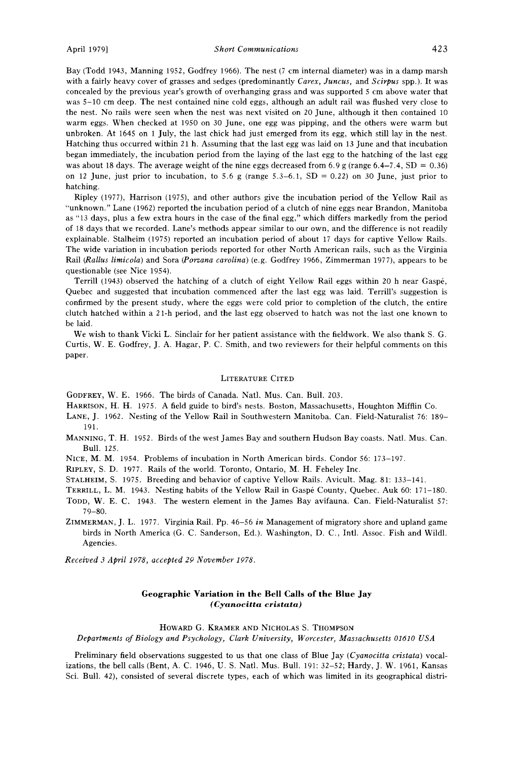**April 1979] Short Communications 423** 

**Bay (Todd 1943, Manning 1952, Godfrey 1966). The nest (7 cm internal diameter) was in a damp marsh**  with a fairly heavy cover of grasses and sedges (predominantly Carex, Juncus, and Scirpus spp.). It was **concealed by the previous year's growth of overhanging grass and was supported 5 cm above water that was 5-10 cm deep. The nest contained nine cold eggs, although an adult rail was flushed very close to the nest. No rails were seen when the nest was next visited on 20 June, although it then contained 10 warm eggs. When checked at 1950 on 30 June, one egg was pipping, and the others were warm but unbroken. At 1645 on 1 July, the last chick had just emerged from its egg, which still lay in the nest. Hatching thus occurred within 21 h. Assuming that the last egg was laid on 13 June and that incubation began immediately, the incubation period from the laying of the last egg to the hatching of the last egg**  was about 18 days. The average weight of the nine eggs decreased from 6.9 g (range  $6.4-7.4$ , SD = 0.36) on 12 June, just prior to incubation, to 5.6 g (range 5.3–6.1, SD = 0.22) on 30 June, just prior to **hatching.** 

**Ripley (1977), Harrison (1975), and other authors give the incubation period of the Yellow Rail as "unknown." Lane (1962) reported the incubation period of a clutch of nine eggs near Brandon, Manitoba as "13 days, plus a few extra hours in the case of the final egg," which differs markedly from the period of 18 days that we recorded. Lane's methods appear similar to our own, and the difference is not readily explainable. Stalheim (1975) reported an incubation period of about 17 days for captive Yellow Rails. The wide variation in incubation periods reported for other North American rails, such as the Virginia Rail (Rallus limicola) and Sofa (Porzana carolina) (e.g. Godfrey 1966, Zimmerman 1977), appears to be questionable (see Nice 1954).** 

Terrill (1943) observed the hatching of a clutch of eight Yellow Rail eggs within 20 h near Gaspé, **Quebec and suggested that incubation commenced after the last egg was laid. Terrill's suggestion is confirmed by the present study, where the eggs were cold prior to completion of the clutch, the entire clutch hatched within a 21-h period, and the last egg observed to hatch was not the last one known to be laid.** 

**We wish to thank Vicki L. Sinclair for her patient assistance with the fieldwork. We also thank S. G. Curtis, W. E. Godfrey, J. A. Hagar, P. C. Smith, and two reviewers for their helpful comments on this paper.** 

#### **LITERATURE CITED**

**GODFREY, W. E. 1966. The birds of Canada. Natl. Mus. Can. Bull. 203.** 

- **HARRISON, H. H. 1975. A field guide to bird's nests. Boston, Massachusetts, Houghton Mifflin Co.**
- **LANE, J. 1962. Nesting of the Yellow Rail in Southwestern Manitoba. Can. Field-Naturalist 76: 189- 191.**
- **MANNING, T. H. 1952. Birds of the west James Bay and southern Hudson Bay coasts. Natl. Mus. Can. Bull. 125.**
- **NICE, M. M. 1954. Problems of incubation in North American birds. Condor 56: 173-197.**

**RIPLEY, S. D. 1977. Rails of the world. Toronto, Ontario, M. H. Feheley Inc.** 

**STALHEIM, S. 1975. Breeding and behavior of captive Yellow Rails. Avicult. Mag. 81: 133-141.** 

- TERRILL, L. M. 1943. Nesting habits of the Yellow Rail in Gaspé County, Quebec. Auk 60: 171-180. **TODD, W. E. C. 1943. The western element in the James Bay avifauna. Can. Field-Naturalist 57: 79-80.**
- **ZIMMERMAN, J. L. 1977. Virginia Rail. Pp. 46-56 in Management of migratory shore and upland game birds in North America (G. C. Sanderson, Ed.). Washington, D.C., Intl. Assoc. Fish and Wildl. Agencies.**

**Received 3 April 1978, accepted 29 November 1978.** 

### **Geographic Variation in the Bell Calls of the Blue Jay (Cyanocitta crlstata)**

#### **HOWARD G. KRAMER AND NICHOLAS S. THOMPSON**

**Departments of Biology and Psychology, Clark University, Worcester, Massachusetts 01610 USA** 

Preliminary field observations suggested to us that one class of Blue Jay (Cyanocitta cristata) vocal**izations, the bell calls (Bent, A. C. 1946, U.S. Natl. Mus. Bull. 191: 32-52; Hardy, J. W. 1961, Kansas Sci. Bull. 42), consisted of several discrete types, each of which was limited in its geographical distri-**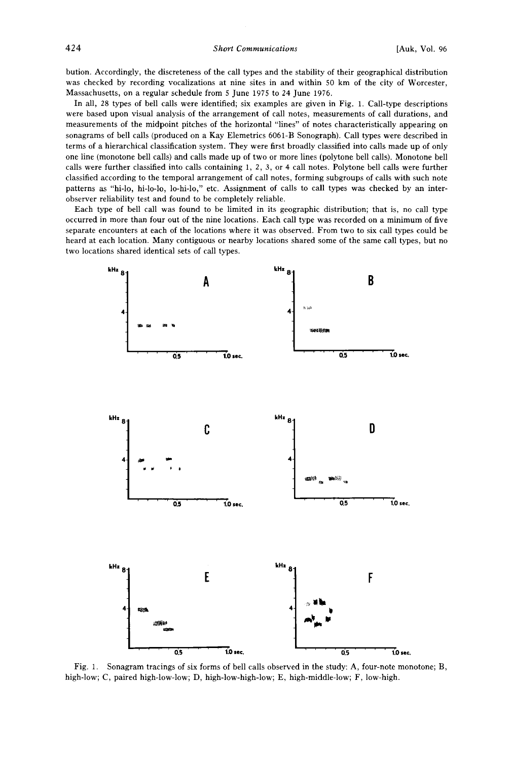**424 Short Communications [Auk, Vol. 96** 

**bution. Accordingly, the discreteness of the call types and the stability of their geographical distribution was checked by recording vocalizations at nine sites in and within 50 km of the city of Worcester, Massachusetts, on a regular schedule from 5 June 1975 to 24 June 1976.** 

**In all, 28 types of bell calls were identified; six examples are given in Fig. 1. Call-type descriptions were based upon visual analysis of the arrangement of call notes, measurements of call durations, and measurements of the midpoint pitches of the horizontal "lines" of notes characteristically appearing on sonagrams of bell calls (produced on a Kay Elemetrics 6061-B Sonograph). Call types were described in terms of a hierarchical classification system. They were first broadly classified into calls made up of only one line (monotone bell calls) and calls made up of two or more lines (polytone bell calls). Monotone bell calls were further classified into calls containing 1, 2, 3, or 4 call notes. Polytone bell calls were further classified according to the temporal arrangement of call notes, forming subgroups of calls with such note patterns as "hi-lo, hi-lo-lo, lo-hi-lo," etc. Assignment of calls to call types was checked by an interobserver reliability test and found to be completely reliable.** 

**Each type of bell call was found to be limited in its geographic distribution; that is, no call type occurred in more than four out of the nine locations. Each call type was recorded on a minimum of five separate encounters at each of the locations where it was observed. From two to six call types could be heard at each location. Many contiguous or nearby locations shared some of the same call types, but no two locations shared identical sets of call types.** 



**Fig. 1. Sonagram tracings of six forms of bell calls observed in the study: A, four-note monotone; B, high-low; C, paired high-low-low; D, high-low-high-low; E, high-middle-low; F, low-high.**